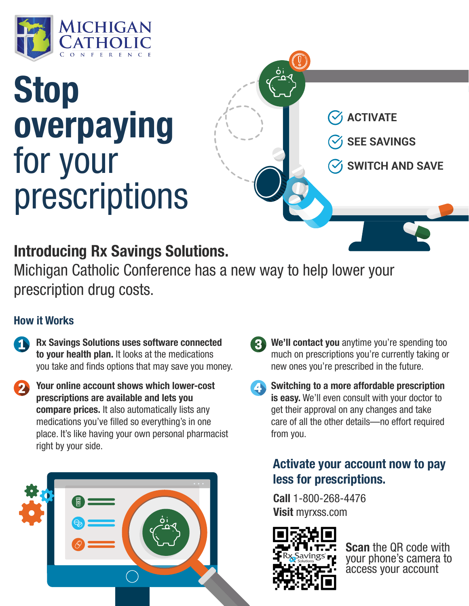

# **Stop overpaying** for your prescriptions

**ACTIVATE**

**SEE SAVINGS**

**SWITCH AND SAVE**

## **Introducing Rx Savings Solutions.**

Michigan Catholic Conference has a new way to help lower your prescription drug costs.

#### **How it Works**

- **Rx Savings Solutions uses software connected to your health plan.** It looks at the medications you take and finds options that may save you money.
- **Your online account shows which lower-cost prescriptions are available and lets you compare prices.** It also automatically lists any medications you've filled so everything's in one place. It's like having your own personal pharmacist right by your side.



- **We'll contact you** anytime you're spending too much on prescriptions you're currently taking or new ones you're prescribed in the future.
- **Switching to a more affordable prescription is easy.** We'll even consult with your doctor to get their approval on any changes and take care of all the other details—no effort required from you.

### **Activate your account now to pay less for prescriptions.**

**Call** 1-800-268-4476 **Visit** myrxss.com



**Scan** the QR code with your phone's camera to access your account